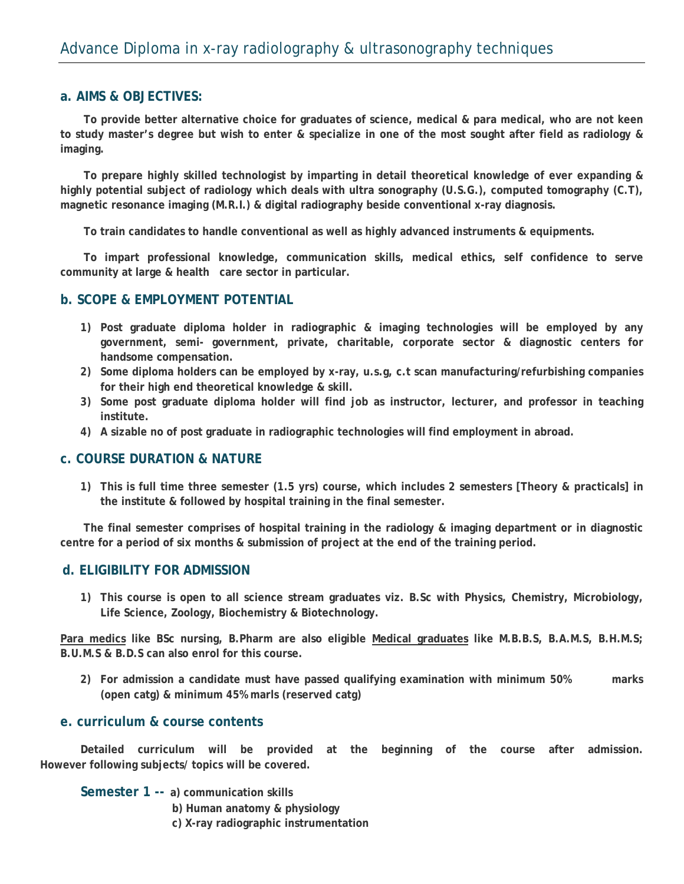## **a. AIMS & OBJECTIVES:**

 **To provide better alternative choice for graduates of science, medical & para medical, who are not keen to study master's degree but wish to enter & specialize in one of the most sought after field as radiology & imaging.** 

 **To prepare highly skilled technologist by imparting in detail theoretical knowledge of ever expanding & highly potential subject of radiology which deals with ultra sonography (U.S.G.), computed tomography (C.T), magnetic resonance imaging (M.R.I.) & digital radiography beside conventional x-ray diagnosis.** 

 **To train candidates to handle conventional as well as highly advanced instruments & equipments.** 

 **To impart professional knowledge, communication skills, medical ethics, self confidence to serve community at large & health care sector in particular.** 

## **b. SCOPE & EMPLOYMENT POTENTIAL**

- **1) Post graduate diploma holder in radiographic & imaging technologies will be employed by any government, semi- government, private, charitable, corporate sector & diagnostic centers for handsome compensation.**
- **2) Some diploma holders can be employed by x-ray, u.s.g, c.t scan manufacturing/refurbishing companies for their high end theoretical knowledge & skill.**
- **3) Some post graduate diploma holder will find job as instructor, lecturer, and professor in teaching institute.**
- **4) A sizable no of post graduate in radiographic technologies will find employment in abroad.**

### **c. COURSE DURATION & NATURE**

**1) This is full time three semester (1.5 yrs) course, which includes 2 semesters [Theory & practicals] in the institute & followed by hospital training in the final semester.** 

 **The final semester comprises of hospital training in the radiology & imaging department or in diagnostic centre for a period of six months & submission of project at the end of the training period.** 

#### **d. ELIGIBILITY FOR ADMISSION**

**1) This course is open to all science stream graduates viz. B.Sc with Physics, Chemistry, Microbiology, Life Science, Zoology, Biochemistry & Biotechnology.** 

Para medics like BSc nursing, B.Pharm are also eligible Medical graduates like M.B.B.S, B.A.M.S, B.H.M.S; **B.U.M.S & B.D.S can also enrol for this course.** 

**2) For admission a candidate must have passed qualifying examination with minimum 50% marks (open catg) & minimum 45% marls (reserved catg)** 

#### **e. curriculum & course contents**

 **Detailed curriculum will be provided at the beginning of the course after admission. However following subjects/ topics will be covered.**

 **Semester 1 -- a) communication skills**

**b) Human anatomy & physiology** 

**c) X-ray radiographic instrumentation**